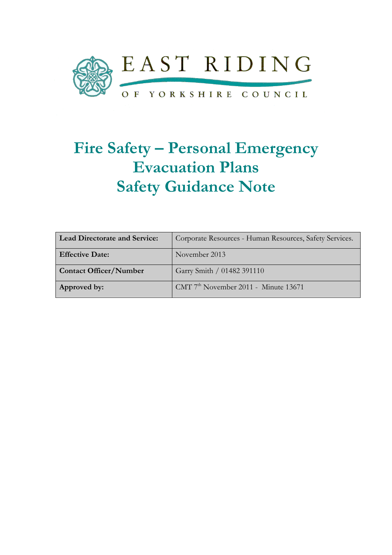

# Fire Safety – Personal Emergency Evacuation Plans Safety Guidance Note

| <b>Lead Directorate and Service:</b> | Corporate Resources - Human Resources, Safety Services. |
|--------------------------------------|---------------------------------------------------------|
| <b>Effective Date:</b>               | November 2013                                           |
| <b>Contact Officer/Number</b>        | Garry Smith / 01482 391110                              |
| Approved by:                         | CMT $7th$ November 2011 - Minute 13671                  |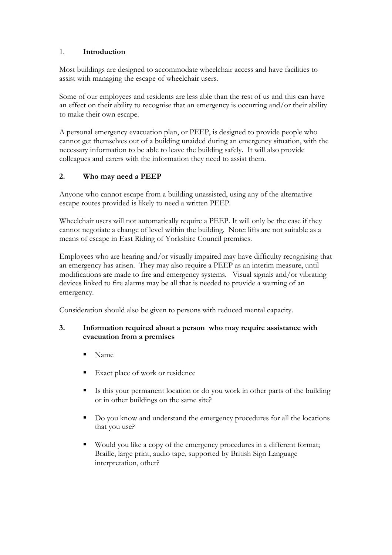## 1. Introduction

Most buildings are designed to accommodate wheelchair access and have facilities to assist with managing the escape of wheelchair users.

Some of our employees and residents are less able than the rest of us and this can have an effect on their ability to recognise that an emergency is occurring and/or their ability to make their own escape.

A personal emergency evacuation plan, or PEEP, is designed to provide people who cannot get themselves out of a building unaided during an emergency situation, with the necessary information to be able to leave the building safely. It will also provide colleagues and carers with the information they need to assist them.

# 2. Who may need a PEEP

Anyone who cannot escape from a building unassisted, using any of the alternative escape routes provided is likely to need a written PEEP.

Wheelchair users will not automatically require a PEEP. It will only be the case if they cannot negotiate a change of level within the building. Note: lifts are not suitable as a means of escape in East Riding of Yorkshire Council premises.

Employees who are hearing and/or visually impaired may have difficulty recognising that an emergency has arisen. They may also require a PEEP as an interim measure, until modifications are made to fire and emergency systems. Visual signals and/or vibrating devices linked to fire alarms may be all that is needed to provide a warning of an emergency.

Consideration should also be given to persons with reduced mental capacity.

### 3. Information required about a person who may require assistance with evacuation from a premises

- Name
- Exact place of work or residence
- Is this your permanent location or do you work in other parts of the building or in other buildings on the same site?
- Do you know and understand the emergency procedures for all the locations that you use?
- Would you like a copy of the emergency procedures in a different format; Braille, large print, audio tape, supported by British Sign Language interpretation, other?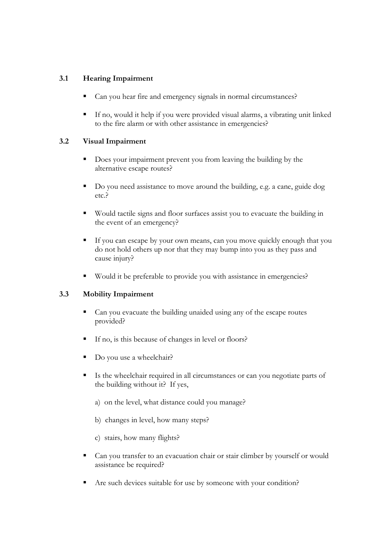## 3.1 Hearing Impairment

- Can you hear fire and emergency signals in normal circumstances?
- If no, would it help if you were provided visual alarms, a vibrating unit linked to the fire alarm or with other assistance in emergencies?

### 3.2 Visual Impairment

- Does your impairment prevent you from leaving the building by the alternative escape routes?
- Do you need assistance to move around the building, e.g. a cane, guide dog etc.?
- Would tactile signs and floor surfaces assist you to evacuate the building in the event of an emergency?
- If you can escape by your own means, can you move quickly enough that you do not hold others up nor that they may bump into you as they pass and cause injury?
- Would it be preferable to provide you with assistance in emergencies?

#### 3.3 Mobility Impairment

- Can you evacuate the building unaided using any of the escape routes provided?
- If no, is this because of changes in level or floors?
- Do you use a wheelchair?
- Is the wheelchair required in all circumstances or can you negotiate parts of the building without it? If yes,
	- a) on the level, what distance could you manage?
	- b) changes in level, how many steps?
	- c) stairs, how many flights?
- Can you transfer to an evacuation chair or stair climber by yourself or would assistance be required?
- Are such devices suitable for use by someone with your condition?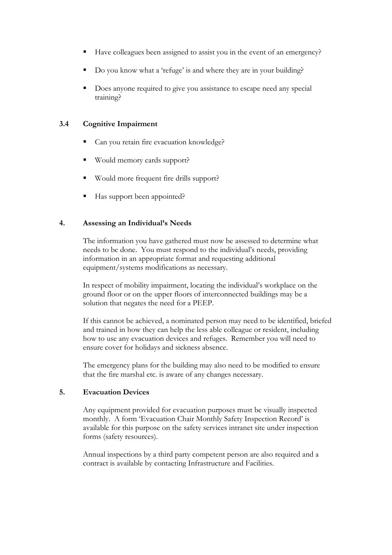- Have colleagues been assigned to assist you in the event of an emergency?
- Do you know what a 'refuge' is and where they are in your building?
- Does anyone required to give you assistance to escape need any special training?

#### 3.4 Cognitive Impairment

- Can you retain fire evacuation knowledge?
- Would memory cards support?
- Would more frequent fire drills support?
- Has support been appointed?

#### 4. Assessing an Individual's Needs

The information you have gathered must now be assessed to determine what needs to be done. You must respond to the individual's needs, providing information in an appropriate format and requesting additional equipment/systems modifications as necessary.

In respect of mobility impairment, locating the individual's workplace on the ground floor or on the upper floors of interconnected buildings may be a solution that negates the need for a PEEP.

If this cannot be achieved, a nominated person may need to be identified, briefed and trained in how they can help the less able colleague or resident, including how to use any evacuation devices and refuges. Remember you will need to ensure cover for holidays and sickness absence.

The emergency plans for the building may also need to be modified to ensure that the fire marshal etc. is aware of any changes necessary.

#### 5. Evacuation Devices

Any equipment provided for evacuation purposes must be visually inspected monthly. A form 'Evacuation Chair Monthly Safety Inspection Record' is available for this purpose on the safety services intranet site under inspection forms (safety resources).

Annual inspections by a third party competent person are also required and a contract is available by contacting Infrastructure and Facilities.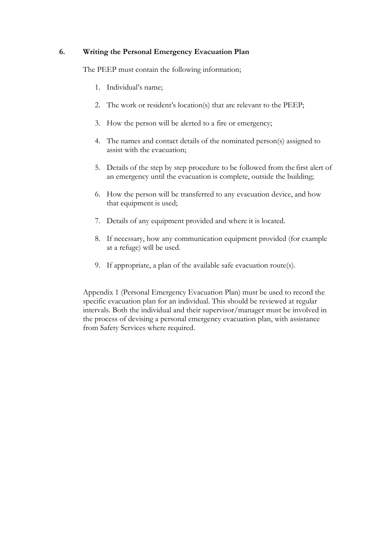#### 6. Writing the Personal Emergency Evacuation Plan

The PEEP must contain the following information;

- 1. Individual's name;
- 2. The work or resident's location(s) that are relevant to the PEEP;
- 3. How the person will be alerted to a fire or emergency;
- 4. The names and contact details of the nominated person(s) assigned to assist with the evacuation;
- 5. Details of the step by step procedure to be followed from the first alert of an emergency until the evacuation is complete, outside the building;
- 6. How the person will be transferred to any evacuation device, and how that equipment is used;
- 7. Details of any equipment provided and where it is located.
- 8. If necessary, how any communication equipment provided (for example at a refuge) will be used.
- 9. If appropriate, a plan of the available safe evacuation route(s).

Appendix 1 (Personal Emergency Evacuation Plan) must be used to record the specific evacuation plan for an individual. This should be reviewed at regular intervals. Both the individual and their supervisor/manager must be involved in the process of devising a personal emergency evacuation plan, with assistance from Safety Services where required.